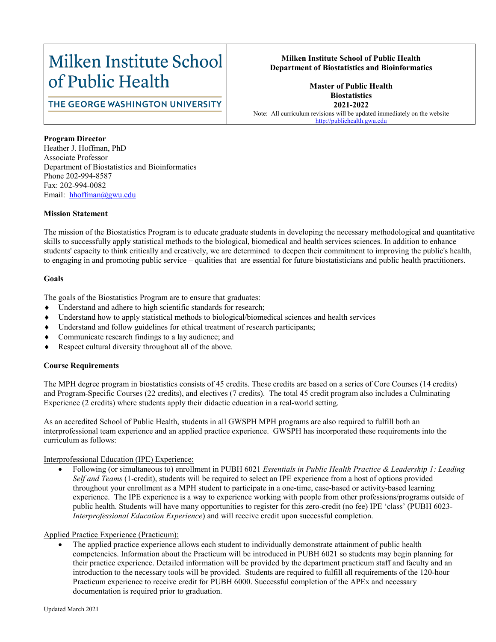# Milken Institute School of Public Health

# THE GEORGE WASHINGTON UNIVERSITY

# **Milken Institute School of Public Health Department of Biostatistics and Bioinformatics**

# **Master of Public Health Biostatistics 2021-2022**

Note: All curriculum revisions will be updated immediately on the website [http://publichealth.gwu.edu](http://publichealth.gwu.edu/)

**Program Director** Heather J. Hoffman, PhD Associate Professor Department of Biostatistics and Bioinformatics Phone 202-994-8587 Fax: 202-994-0082

#### **Mission Statement**

Email: hhoffman@gwu.edu

The mission of the Biostatistics Program is to educate graduate students in developing the necessary methodological and quantitative skills to successfully apply statistical methods to the biological, biomedical and health services sciences. In addition to enhance students' capacity to think critically and creatively, we are determined to deepen their commitment to improving the public's health, to engaging in and promoting public service – qualities that are essential for future biostatisticians and public health practitioners.

### **Goals**

The goals of the Biostatistics Program are to ensure that graduates:

- Understand and adhere to high scientific standards for research;
- Understand how to apply statistical methods to biological/biomedical sciences and health services
- Understand and follow guidelines for ethical treatment of research participants;
- Communicate research findings to a lay audience; and
- Respect cultural diversity throughout all of the above.

# **Course Requirements**

The MPH degree program in biostatistics consists of 45 credits. These credits are based on a series of Core Courses (14 credits) and Program-Specific Courses (22 credits), and electives (7 credits). The total 45 credit program also includes a Culminating Experience (2 credits) where students apply their didactic education in a real-world setting.

As an accredited School of Public Health, students in all GWSPH MPH programs are also required to fulfill both an interprofessional team experience and an applied practice experience. GWSPH has incorporated these requirements into the curriculum as follows:

#### Interprofessional Education (IPE) Experience:

• Following (or simultaneous to) enrollment in PUBH 6021 *Essentials in Public Health Practice & Leadership 1: Leading Self and Teams* (1-credit), students will be required to select an IPE experience from a host of options provided throughout your enrollment as a MPH student to participate in a one-time, case-based or activity-based learning experience. The IPE experience is a way to experience working with people from other professions/programs outside of public health. Students will have many opportunities to register for this zero-credit (no fee) IPE 'class' (PUBH 6023- *Interprofessional Education Experience*) and will receive credit upon successful completion.

#### Applied Practice Experience (Practicum):

• The applied practice experience allows each student to individually demonstrate attainment of public health competencies. Information about the Practicum will be introduced in PUBH 6021 so students may begin planning for their practice experience. Detailed information will be provided by the department practicum staff and faculty and an introduction to the necessary tools will be provided. Students are required to fulfill all requirements of the 120-hour Practicum experience to receive credit for PUBH 6000. Successful completion of the APEx and necessary documentation is required prior to graduation.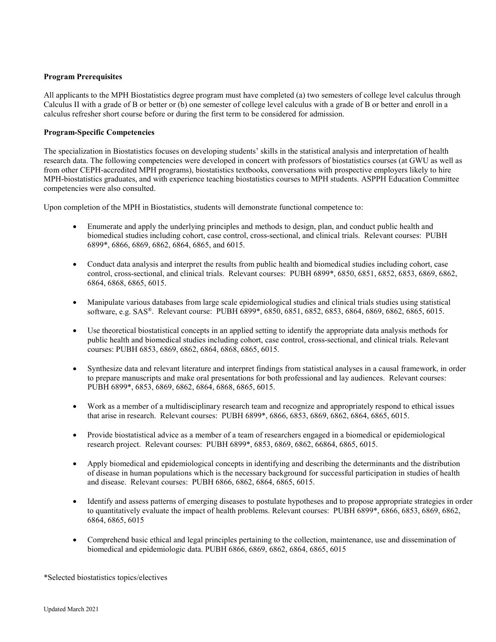#### **Program Prerequisites**

All applicants to the MPH Biostatistics degree program must have completed (a) two semesters of college level calculus through Calculus II with a grade of B or better or (b) one semester of college level calculus with a grade of B or better and enroll in a calculus refresher short course before or during the first term to be considered for admission.

#### **Program-Specific Competencies**

The specialization in Biostatistics focuses on developing students' skills in the statistical analysis and interpretation of health research data. The following competencies were developed in concert with professors of biostatistics courses (at GWU as well as from other CEPH-accredited MPH programs), biostatistics textbooks, conversations with prospective employers likely to hire MPH-biostatistics graduates, and with experience teaching biostatistics courses to MPH students. ASPPH Education Committee competencies were also consulted.

Upon completion of the MPH in Biostatistics, students will demonstrate functional competence to:

- Enumerate and apply the underlying principles and methods to design, plan, and conduct public health and biomedical studies including cohort, case control, cross-sectional, and clinical trials. Relevant courses: PUBH 6899\*, 6866, 6869, 6862, 6864, 6865, and 6015.
- Conduct data analysis and interpret the results from public health and biomedical studies including cohort, case control, cross-sectional, and clinical trials. Relevant courses: PUBH 6899\*, 6850, 6851, 6852, 6853, 6869, 6862, 6864, 6868, 6865, 6015.
- Manipulate various databases from large scale epidemiological studies and clinical trials studies using statistical software, e.g. SAS®. Relevant course: PUBH 6899\*, 6850, 6851, 6852, 6853, 6864, 6869, 6862, 6865, 6015.
- Use theoretical biostatistical concepts in an applied setting to identify the appropriate data analysis methods for public health and biomedical studies including cohort, case control, cross-sectional, and clinical trials. Relevant courses: PUBH 6853, 6869, 6862, 6864, 6868, 6865, 6015.
- Synthesize data and relevant literature and interpret findings from statistical analyses in a causal framework, in order to prepare manuscripts and make oral presentations for both professional and lay audiences. Relevant courses: PUBH 6899\*, 6853, 6869, 6862, 6864, 6868, 6865, 6015.
- Work as a member of a multidisciplinary research team and recognize and appropriately respond to ethical issues that arise in research. Relevant courses: PUBH 6899\*, 6866, 6853, 6869, 6862, 6864, 6865, 6015.
- Provide biostatistical advice as a member of a team of researchers engaged in a biomedical or epidemiological research project. Relevant courses: PUBH 6899\*, 6853, 6869, 6862, 66864, 6865, 6015.
- Apply biomedical and epidemiological concepts in identifying and describing the determinants and the distribution of disease in human populations which is the necessary background for successful participation in studies of health and disease. Relevant courses: PUBH 6866, 6862, 6864, 6865, 6015.
- Identify and assess patterns of emerging diseases to postulate hypotheses and to propose appropriate strategies in order to quantitatively evaluate the impact of health problems. Relevant courses: PUBH 6899\*, 6866, 6853, 6869, 6862, 6864, 6865, 6015
- Comprehend basic ethical and legal principles pertaining to the collection, maintenance, use and dissemination of biomedical and epidemiologic data. PUBH 6866, 6869, 6862, 6864, 6865, 6015

\*Selected biostatistics topics/electives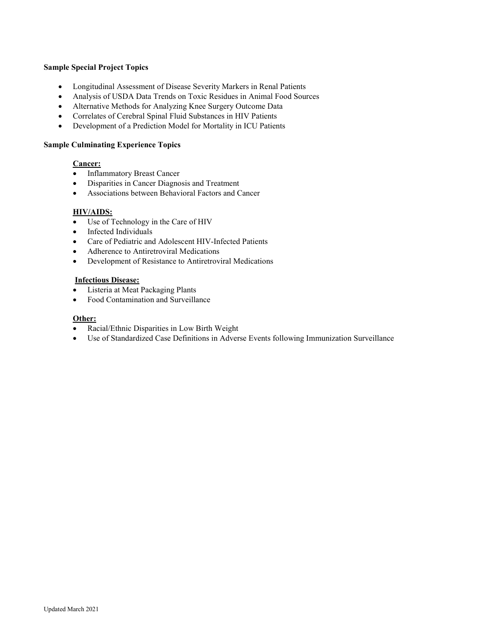#### **Sample Special Project Topics**

- Longitudinal Assessment of Disease Severity Markers in Renal Patients
- Analysis of USDA Data Trends on Toxic Residues in Animal Food Sources
- Alternative Methods for Analyzing Knee Surgery Outcome Data
- Correlates of Cerebral Spinal Fluid Substances in HIV Patients
- Development of a Prediction Model for Mortality in ICU Patients

#### **Sample Culminating Experience Topics**

## **Cancer:**

- Inflammatory Breast Cancer
- Disparities in Cancer Diagnosis and Treatment
- Associations between Behavioral Factors and Cancer

## **HIV/AIDS:**

- Use of Technology in the Care of HIV
- Infected Individuals
- Care of Pediatric and Adolescent HIV-Infected Patients
- Adherence to Antiretroviral Medications
- Development of Resistance to Antiretroviral Medications

### **Infectious Disease:**

- Listeria at Meat Packaging Plants
- Food Contamination and Surveillance

#### **Other:**

- Racial/Ethnic Disparities in Low Birth Weight
- Use of Standardized Case Definitions in Adverse Events following Immunization Surveillance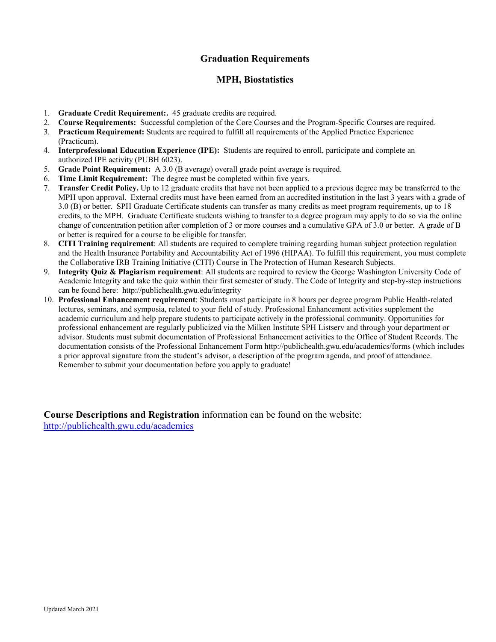# **Graduation Requirements**

# **MPH, Biostatistics**

- 1. **Graduate Credit Requirement:.** 45 graduate credits are required.
- 2. **Course Requirements:** Successful completion of the Core Courses and the Program-Specific Courses are required.
- 3. **Practicum Requirement:** Students are required to fulfill all requirements of the Applied Practice Experience (Practicum).
- 4. **Interprofessional Education Experience (IPE):** Students are required to enroll, participate and complete an authorized IPE activity (PUBH 6023).
- 5. **Grade Point Requirement:** A 3.0 (B average) overall grade point average is required.
- 6. **Time Limit Requirement:** The degree must be completed within five years.
- 7. **Transfer Credit Policy.** Up to 12 graduate credits that have not been applied to a previous degree may be transferred to the MPH upon approval. External credits must have been earned from an accredited institution in the last 3 years with a grade of 3.0 (B) or better. SPH Graduate Certificate students can transfer as many credits as meet program requirements, up to 18 credits, to the MPH. Graduate Certificate students wishing to transfer to a degree program may apply to do so via the online change of concentration petition after completion of 3 or more courses and a cumulative GPA of 3.0 or better. A grade of B or better is required for a course to be eligible for transfer.
- 8. **CITI Training requirement**: All students are required to complete training regarding human subject protection regulation and the Health Insurance Portability and Accountability Act of 1996 (HIPAA). To fulfill this requirement, you must complete the Collaborative IRB Training Initiative (CITI) Course in The Protection of Human Research Subjects.
- 9. **Integrity Quiz & Plagiarism requirement**: All students are required to review the George Washington University Code of Academic Integrity and take the quiz within their first semester of study. The Code of Integrity and step-by-step instructions can be found here: http://publichealth.gwu.edu/integrity
- 10. **Professional Enhancement requirement**: Students must participate in 8 hours per degree program Public Health-related lectures, seminars, and symposia, related to your field of study. Professional Enhancement activities supplement the academic curriculum and help prepare students to participate actively in the professional community. Opportunities for professional enhancement are regularly publicized via the Milken Institute SPH Listserv and through your department or advisor. Students must submit documentation of Professional Enhancement activities to the Office of Student Records. The documentation consists of the Professional Enhancement Form http://publichealth.gwu.edu/academics/forms (which includes a prior approval signature from the student's advisor, a description of the program agenda, and proof of attendance. Remember to submit your documentation before you apply to graduate!

**Course Descriptions and Registration** information can be found on the website: <http://publichealth.gwu.edu/academics>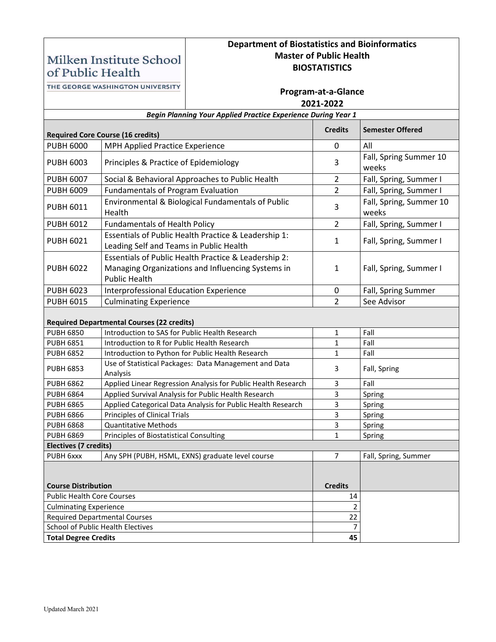# **Department of Biostatistics and Bioinformatics Master of Public Health BIOSTATISTICS**

of Public Health THE GEORGE WASHINGTON UNIVERSITY

Milken Institute School

| THE GEORGE WASHINGTON UNIVERSITY                                     |                                                                                        | Program-at-a-Glance                                                                                       |                |                                  |  |  |
|----------------------------------------------------------------------|----------------------------------------------------------------------------------------|-----------------------------------------------------------------------------------------------------------|----------------|----------------------------------|--|--|
|                                                                      |                                                                                        | 2021-2022                                                                                                 |                |                                  |  |  |
| <b>Begin Planning Your Applied Practice Experience During Year 1</b> |                                                                                        |                                                                                                           |                |                                  |  |  |
| <b>Required Core Course (16 credits)</b>                             |                                                                                        |                                                                                                           | <b>Credits</b> | <b>Semester Offered</b>          |  |  |
| <b>PUBH 6000</b>                                                     | MPH Applied Practice Experience                                                        |                                                                                                           | $\mathbf 0$    | All                              |  |  |
| <b>PUBH 6003</b>                                                     | Principles & Practice of Epidemiology                                                  |                                                                                                           | 3              | Fall, Spring Summer 10<br>weeks  |  |  |
| <b>PUBH 6007</b>                                                     |                                                                                        | Social & Behavioral Approaches to Public Health                                                           | $\overline{2}$ | Fall, Spring, Summer I           |  |  |
| <b>PUBH 6009</b>                                                     | <b>Fundamentals of Program Evaluation</b>                                              |                                                                                                           | $\overline{2}$ | Fall, Spring, Summer I           |  |  |
| <b>PUBH 6011</b>                                                     | Health                                                                                 | Environmental & Biological Fundamentals of Public                                                         | 3              | Fall, Spring, Summer 10<br>weeks |  |  |
| <b>PUBH 6012</b>                                                     | <b>Fundamentals of Health Policy</b>                                                   |                                                                                                           | $\overline{2}$ | Fall, Spring, Summer I           |  |  |
| <b>PUBH 6021</b>                                                     | Leading Self and Teams in Public Health                                                | Essentials of Public Health Practice & Leadership 1:                                                      | 1              | Fall, Spring, Summer I           |  |  |
| <b>PUBH 6022</b>                                                     | <b>Public Health</b>                                                                   | Essentials of Public Health Practice & Leadership 2:<br>Managing Organizations and Influencing Systems in | 1              | Fall, Spring, Summer I           |  |  |
| <b>PUBH 6023</b>                                                     | Interprofessional Education Experience                                                 |                                                                                                           | 0              | Fall, Spring Summer              |  |  |
| <b>PUBH 6015</b>                                                     | <b>Culminating Experience</b>                                                          |                                                                                                           | $\overline{2}$ | See Advisor                      |  |  |
| <b>Required Departmental Courses (22 credits)</b>                    |                                                                                        |                                                                                                           |                |                                  |  |  |
| <b>PUBH 6850</b>                                                     | Introduction to SAS for Public Health Research                                         |                                                                                                           | 1              | Fall                             |  |  |
| <b>PUBH 6851</b>                                                     | Introduction to R for Public Health Research                                           |                                                                                                           | 1              | Fall                             |  |  |
| <b>PUBH 6852</b>                                                     | Introduction to Python for Public Health Research                                      |                                                                                                           | 1              | Fall                             |  |  |
| <b>PUBH 6853</b>                                                     | Use of Statistical Packages: Data Management and Data<br>3<br>Fall, Spring<br>Analysis |                                                                                                           |                |                                  |  |  |
| <b>PUBH 6862</b>                                                     | Applied Linear Regression Analysis for Public Health Research                          |                                                                                                           | 3              | Fall                             |  |  |
| <b>PUBH 6864</b>                                                     |                                                                                        | Applied Survival Analysis for Public Health Research                                                      | 3              | Spring                           |  |  |
| <b>PUBH 6865</b>                                                     |                                                                                        | Applied Categorical Data Analysis for Public Health Research                                              | 3              | Spring                           |  |  |
| <b>PUBH 6866</b>                                                     | Principles of Clinical Trials                                                          |                                                                                                           | 3              | Spring                           |  |  |
| <b>PUBH 6868</b>                                                     | <b>Quantitative Methods</b>                                                            |                                                                                                           | 3              | Spring                           |  |  |
| <b>PUBH 6869</b>                                                     | Principles of Biostatistical Consulting                                                | Spring                                                                                                    |                |                                  |  |  |
| Electives (7 credits)                                                |                                                                                        |                                                                                                           |                |                                  |  |  |
| PUBH 6xxx<br>Any SPH (PUBH, HSML, EXNS) graduate level course        |                                                                                        |                                                                                                           |                | Fall, Spring, Summer             |  |  |
| <b>Course Distribution</b>                                           |                                                                                        |                                                                                                           | <b>Credits</b> |                                  |  |  |
|                                                                      | <b>Public Health Core Courses</b>                                                      |                                                                                                           |                |                                  |  |  |
| <b>Culminating Experience</b>                                        |                                                                                        | $\overline{2}$                                                                                            |                |                                  |  |  |
| <b>Required Departmental Courses</b>                                 |                                                                                        | 22                                                                                                        |                |                                  |  |  |
| School of Public Health Electives                                    |                                                                                        |                                                                                                           | $\overline{7}$ |                                  |  |  |
| <b>Total Degree Credits</b>                                          |                                                                                        | 45                                                                                                        |                |                                  |  |  |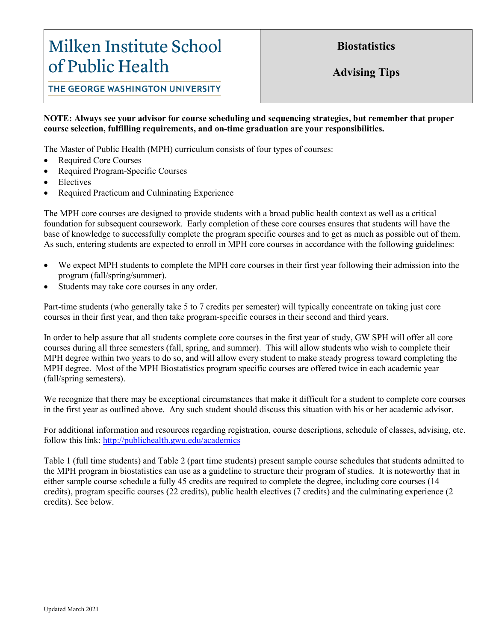# Milken Institute School of Public Health

**Biostatistics**

**Advising Tips**

THE GEORGE WASHINGTON UNIVERSITY

# **NOTE: Always see your advisor for course scheduling and sequencing strategies, but remember that proper course selection, fulfilling requirements, and on-time graduation are your responsibilities.**

The Master of Public Health (MPH) curriculum consists of four types of courses:

- Required Core Courses
- Required Program-Specific Courses
- **Electives**
- Required Practicum and Culminating Experience

The MPH core courses are designed to provide students with a broad public health context as well as a critical foundation for subsequent coursework. Early completion of these core courses ensures that students will have the base of knowledge to successfully complete the program specific courses and to get as much as possible out of them. As such, entering students are expected to enroll in MPH core courses in accordance with the following guidelines:

- We expect MPH students to complete the MPH core courses in their first year following their admission into the program (fall/spring/summer).
- Students may take core courses in any order.

Part-time students (who generally take 5 to 7 credits per semester) will typically concentrate on taking just core courses in their first year, and then take program-specific courses in their second and third years.

In order to help assure that all students complete core courses in the first year of study, GW SPH will offer all core courses during all three semesters (fall, spring, and summer). This will allow students who wish to complete their MPH degree within two years to do so, and will allow every student to make steady progress toward completing the MPH degree. Most of the MPH Biostatistics program specific courses are offered twice in each academic year (fall/spring semesters).

We recognize that there may be exceptional circumstances that make it difficult for a student to complete core courses in the first year as outlined above. Any such student should discuss this situation with his or her academic advisor.

For additional information and resources regarding registration, course descriptions, schedule of classes, advising, etc. follow this link: <http://publichealth.gwu.edu/academics>

Table 1 (full time students) and Table 2 (part time students) present sample course schedules that students admitted to the MPH program in biostatistics can use as a guideline to structure their program of studies. It is noteworthy that in either sample course schedule a fully 45 credits are required to complete the degree, including core courses (14 credits), program specific courses (22 credits), public health electives (7 credits) and the culminating experience (2 credits). See below.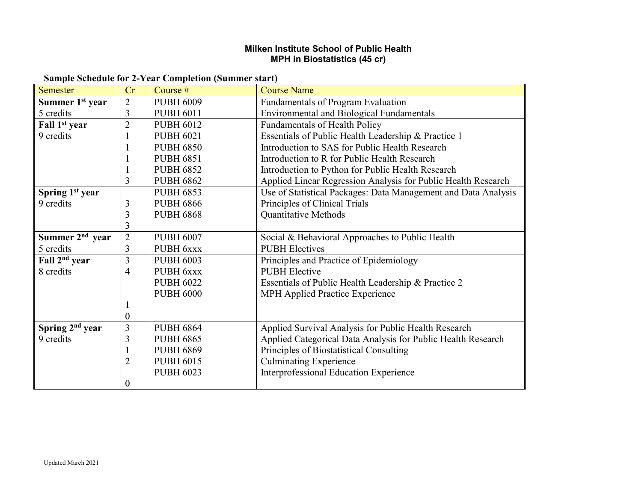# **Milken Institute School of Public Health MPH in Biostatistics (45 cr)**

| <b>Sample Schedule for 2-Year Completion (Summer start)</b> |  |  |  |  |  |  |  |  |  |  |
|-------------------------------------------------------------|--|--|--|--|--|--|--|--|--|--|
|-------------------------------------------------------------|--|--|--|--|--|--|--|--|--|--|

| Semester                    | Cr                      | Course #         | <b>Course Name</b>                                             |
|-----------------------------|-------------------------|------------------|----------------------------------------------------------------|
| Summer 1 <sup>st</sup> year | $\overline{2}$          | <b>PUBH 6009</b> | Fundamentals of Program Evaluation                             |
| 5 credits                   | 3                       | <b>PUBH 6011</b> | <b>Environmental and Biological Fundamentals</b>               |
| Fall 1 <sup>st</sup> year   | $\overline{2}$          | <b>PUBH 6012</b> | <b>Fundamentals of Health Policy</b>                           |
| 9 credits                   |                         | <b>PUBH 6021</b> | Essentials of Public Health Leadership & Practice 1            |
|                             |                         | <b>PUBH 6850</b> | Introduction to SAS for Public Health Research                 |
|                             |                         | <b>PUBH 6851</b> | Introduction to R for Public Health Research                   |
|                             |                         | <b>PUBH 6852</b> | Introduction to Python for Public Health Research              |
|                             | 3                       | <b>PUBH 6862</b> | Applied Linear Regression Analysis for Public Health Research  |
| Spring 1st year             |                         | <b>PUBH 6853</b> | Use of Statistical Packages: Data Management and Data Analysis |
| 9 credits                   | 3                       | <b>PUBH 6866</b> | Principles of Clinical Trials                                  |
|                             | 3                       | <b>PUBH 6868</b> | Quantitative Methods                                           |
|                             | 3                       |                  |                                                                |
| Summer $2nd$ year           | $\overline{2}$          | <b>PUBH 6007</b> | Social & Behavioral Approaches to Public Health                |
| 5 credits                   | 3                       | PUBH 6xxx        | <b>PUBH</b> Electives                                          |
| Fall 2 <sup>nd</sup> year   | $\overline{\mathbf{3}}$ | <b>PUBH 6003</b> | Principles and Practice of Epidemiology                        |
| 8 credits                   | 4                       | PUBH 6xxx        | <b>PUBH</b> Elective                                           |
|                             |                         | <b>PUBH 6022</b> | Essentials of Public Health Leadership & Practice 2            |
|                             |                         | <b>PUBH 6000</b> | MPH Applied Practice Experience                                |
|                             |                         |                  |                                                                |
|                             | $\boldsymbol{0}$        |                  |                                                                |
| Spring $2nd$ year           | 3                       | <b>PUBH 6864</b> | Applied Survival Analysis for Public Health Research           |
| 9 credits                   | 3                       | <b>PUBH 6865</b> | Applied Categorical Data Analysis for Public Health Research   |
|                             | 1                       | <b>PUBH 6869</b> | Principles of Biostatistical Consulting                        |
|                             | $\overline{2}$          | <b>PUBH 6015</b> | <b>Culminating Experience</b>                                  |
|                             |                         | <b>PUBH 6023</b> | Interprofessional Education Experience                         |
|                             | $\boldsymbol{0}$        |                  |                                                                |